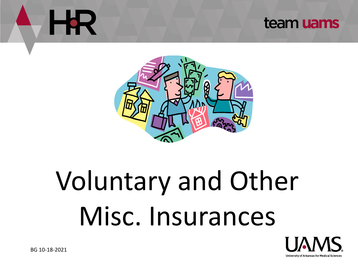# HR

#### team uams



## Voluntary and Other Misc. Insurances

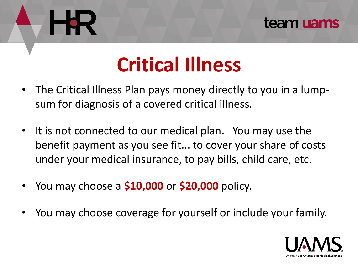#### team uams

### **Critical Illness**

- The Critical Illness Plan pays money directly to you in a lumpsum for diagnosis of a covered critical illness.
- It is not connected to our medical plan. You may use the benefit payment as you see fit... to cover your share of costs under your medical insurance, to pay bills, child care, etc.
- You may choose a **\$10,000** or **\$20,000** policy.
- You may choose coverage for yourself or include your family.

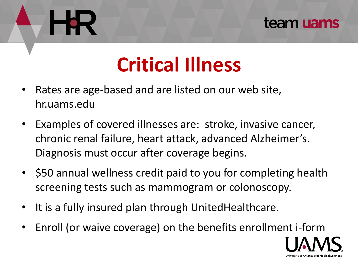#### team uams

### **Critical Illness**

- Rates are age-based and are listed on our web site, hr.uams.edu
- Examples of covered illnesses are: stroke, invasive cancer, chronic renal failure, heart attack, advanced Alzheimer's. Diagnosis must occur after coverage begins.
- \$50 annual wellness credit paid to you for completing health screening tests such as mammogram or colonoscopy.
- It is a fully insured plan through UnitedHealthcare.
- Enroll (or waive coverage) on the benefits enrollment i-form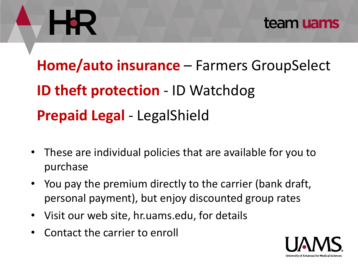

### **Home/auto insurance** – Farmers GroupSelect **ID theft protection - ID Watchdog Prepaid Legal** - LegalShield

- These are individual policies that are available for you to purchase
- You pay the premium directly to the carrier (bank draft, personal payment), but enjoy discounted group rates
- Visit our web site, hr.uams.edu, for details
- Contact the carrier to enroll